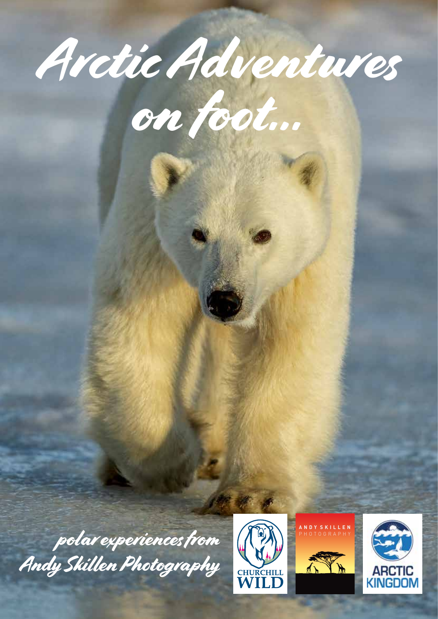



polar experiences from Andy Skillen Photography





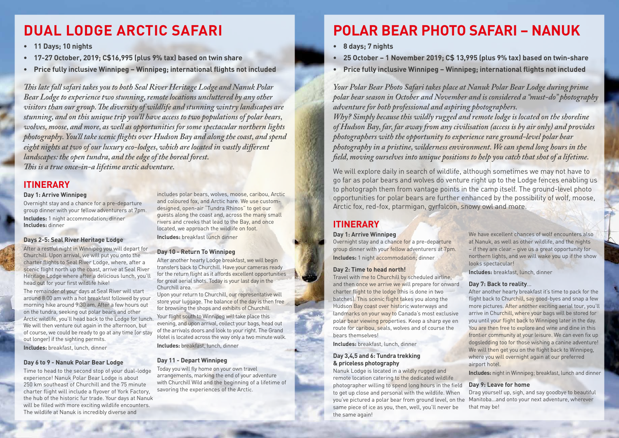# **POLAR BEAR PHOTO SAFARI – NANUK**

- **• 8 days; 7 nights**
- **• 25 October 1 November 2019; C\$ 13,995 (plus 9% tax) based on twin-share**
- **• Price fully inclusive Winnipeg Winnipeg; international flights not included**

*Your Polar Bear Photo Safari takes place at Nanuk Polar Bear Lodge during prime polar bear season in October and November and is considered a "must-do" photography adventure for both professional and aspiring photographers. Why? Simply because this wildly rugged and remote lodge is located on the shoreline of Hudson Bay, far, far away from any civilisation (access is by air only) and provides photographers with the opportunity to experience rare ground-level polar bear photography in a pristine, wilderness environment. We can spend long hours in the field, moving ourselves into unique positions to help you catch that shot of a lifetime.* 

We will explore daily in search of wildlife, although sometimes we may not have to go far as polar bears and wolves do venture right up to the Lodge fences enabling us to photograph them from vantage points in the camp itself. The ground-level photo opportunities for polar bears are further enhanced by the possibility of wolf, moose, Arctic fox, red-fox, ptarmigan, gyrfalcon, snowy owl and more.

# **ITINERARY**

## **Day 1: Arrive Winnipeg**

Overnight stay and a chance for a pre-departure group dinner with your fellow adventurers at 7pm. **Includes:** 1 night accommodation; dinner

## **Day 2: Time to head north!**

Travel with me to Churchill by scheduled airline, and then once we arrive we will prepare for onward charter flight to the lodge (this is done in two batches). This scenic flight takes you along the Hudson Bay coast over historic waterways and landmarks on your way to Canada's most exclusive polar bear viewing properties. Keep a sharp eye en route for caribou, seals, wolves and of course the bears themselves!

**Includes:** breakfast, lunch, dinner

# **Day 3,4,5 and 6: Tundra trekking & priceless photography**

We have excellent chances of wolf encounters also at Nanuk, as well as other wildlife, and the nights – if they are clear – give us a great opportunity for northern lights, and we will wake you up if the show looks spectacular!

**Includes:** breakfast, lunch, dinner

## **Day 7: Back to reality**…

Nanuk Lodge is located in a wildly rugged and remote location catering to the dedicated wildlife photographer willing to spend long hours in the field to get up close and personal with the wildlife. When you've pictured a polar bear from ground level, on the same piece of ice as you, then, well, you'll never be the same again! **Includes:** night in Winnipeg; breakfast, lunch and dinner **Day 9: Leave for home** Drag yourself up, sigh, and say goodbye to beautiful Manitoba…and onto your next adventure, wherever that may be!

After another hearty breakfast it's time to pack for the flight back to Churchill, say good-byes and snap a few more pictures. After another exciting aerial tour, you'll arrive in Churchill, where your bags will be stored for you until your flight back to Winnipeg later in the day. You are then free to explore and wine and dine in this frontier community at your leisure. We can even fix up dogsledding too for those wishing a canine adventure! We will then get you on the flight back to Winnipeg, where you will overnight again at our preferred airport hotel.

# **DUAL LODGE ARCTIC SAFARI**

- **• 11 Days; 10 nights**
- **• 17-27 October, 2019; C\$16,995 (plus 9% tax) based on twin share**
- **• Price fully inclusive Winnipeg Winnipeg; international flights not included**

*This late fall safari takes you to both Seal River Heritage Lodge and Nanuk Polar*  Bear Lodge to experience two stunning, remote locations uncluttered by any other *visitors than our group. The diversity of wildlife and stunning wintry landscapes are stunning, and on this unique trip you'll have access to two populations of polar bears, wolves, moose, and more, as well as opportunities for some spectacular northern lights photography. You'll take scenic flights over Hudson Bay and along the coast, and spend eight nights at two of our luxury eco-lodges, which are located in vastly different landscapes: the open tundra, and the edge of the boreal forest. This is a true once-in-a lifetime arctic adventure.*

# **ITINERARY**

#### **Day 1: Arrive Winnipeg**

Overnight stay and a chance for a pre-departure group dinner with your fellow adventurers at 7pm.

**Includes:** 1 night accommodation; dinner **Includes:** dinner

# **Days 2-5: Seal River Heritage Lodge**

After a restful night in Winnipeg you will depart for Churchill. Upon arrival, we will put you onto the charter flights to Seal River Lodge, where, after a scenic flight north up the coast, arrive at Seal River Heritage Lodge where after a delicious lunch, you'll head out for your first wildlife hike!

The remainder of your days at Seal River will start around 8:00 am with a hot breakfast followed by your morning hike around 9:30 am. After a few hours out on the tundra, seeking out polar bears and other Arctic wildlife, you'll head back to the Lodge for lunch. We will then venture out again in the afternoon, but of course, we could be ready to go at any time (or stay out longer) if the sighting permits.

**Includes:** breakfast, lunch, dinner

## **Day 6 to 9 - Nanuk Polar Bear Lodge**

Time to head to the second stop of your dual-lodge experience! Nanuk Polar Bear Lodge is about 250 km southeast of Churchill and the 75 minute charter flight will include a flyover of York Factory, the hub of the historic fur trade. Your days at Nanuk will be filled with more exciting wildlife encounters. The wildlife at Nanuk is incredibly diverse and

includes polar bears, wolves, moose, caribou, Arctic and coloured fox, and Arctic hare. We use customdesigned, open-air "Tundra Rhinos" to get our guests along the coast and, across the many small rivers and creeks that lead to the Bay, and once located, we approach the wildlife on foot. **Includes:** breakfast lunch dinner

# **Day 10 - Return To Winnipeg**

After another hearty Lodge breakfast, we will begin transfers back to Churchill. Have your cameras ready for the return flight as it affords excellent opportunities for great aerial shots. Today is your last day in the Churchill area.

Upon your return to Churchill, our representative will store your luggage. The balance of the day is then free for browsing the shops and exhibits of Churchill. Your flight south to Winnipeg will take place this evening, and upon arrival, collect your bags, head out of the arrivals doors and look to your right. The Grand Hotel is located across the way only a two minute walk.

**Includes:** breakfast, lunch, dinner

# **Day 11 - Depart Winnipeg**

Today you will fly home on your own travel arrangements, marking the end of your adventure with Churchill Wild and the beginning of a lifetime of savoring the experiences of the Arctic.